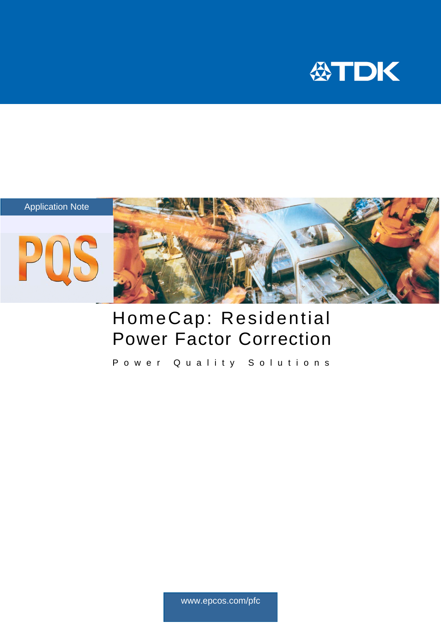



# HomeCap: Residential Power Factor Correction

Power Quality Solutions

www.epcos.com/pfc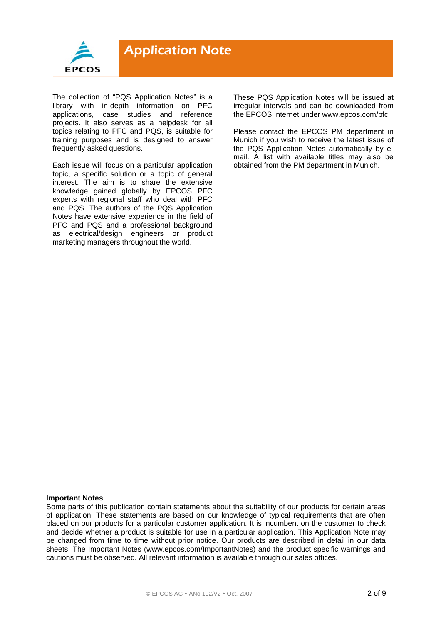

The collection of "PQS Application Notes" is a library with in-depth information on PFC applications, case studies and reference projects. It also serves as a helpdesk for all topics relating to PFC and PQS, is suitable for training purposes and is designed to answer frequently asked questions.

Each issue will focus on a particular application topic, a specific solution or a topic of general interest. The aim is to share the extensive knowledge gained globally by EPCOS PFC experts with regional staff who deal with PFC and PQS. The authors of the PQS Application Notes have extensive experience in the field of PFC and PQS and a professional background as electrical/design engineers or product marketing managers throughout the world.

These PQS Application Notes will be issued at irregular intervals and can be downloaded from the EPCOS Internet under www.epcos.com/pfc

Please contact the EPCOS PM department in Munich if you wish to receive the latest issue of the PQS Application Notes automatically by email. A list with available titles may also be obtained from the PM department in Munich.

#### **Important Notes**

Some parts of this publication contain statements about the suitability of our products for certain areas of application. These statements are based on our knowledge of typical requirements that are often placed on our products for a particular customer application. It is incumbent on the customer to check and decide whether a product is suitable for use in a particular application. This Application Note may be changed from time to time without prior notice. Our products are described in detail in our data sheets. The Important Notes (www.epcos.com/ImportantNotes) and the product specific warnings and cautions must be observed. All relevant information is available through our sales offices.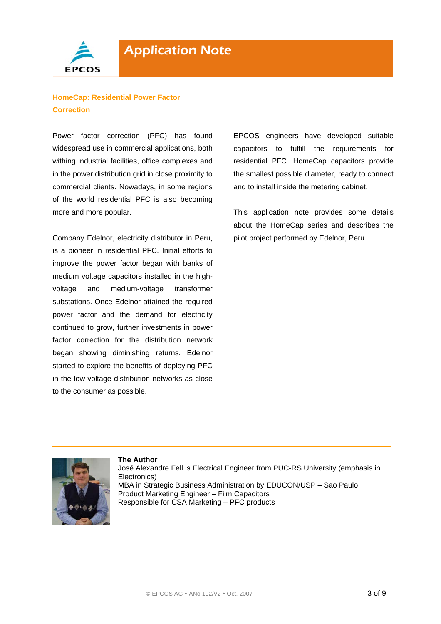

# **HomeCap: Residential Power Factor Correction**

Power factor correction (PFC) has found widespread use in commercial applications, both withing industrial facilities, office complexes and in the power distribution grid in close proximity to commercial clients. Nowadays, in some regions of the world residential PFC is also becoming more and more popular.

Company Edelnor, electricity distributor in Peru, is a pioneer in residential PFC. Initial efforts to improve the power factor began with banks of medium voltage capacitors installed in the highvoltage and medium-voltage transformer substations. Once Edelnor attained the required power factor and the demand for electricity continued to grow, further investments in power factor correction for the distribution network began showing diminishing returns. Edelnor started to explore the benefits of deploying PFC in the low-voltage distribution networks as close to the consumer as possible.

EPCOS engineers have developed suitable capacitors to fulfill the requirements for residential PFC. HomeCap capacitors provide the smallest possible diameter, ready to connect and to install inside the metering cabinet.

This application note provides some details about the HomeCap series and describes the pilot project performed by Edelnor, Peru.



 Responsible for CSA Marketing – PFC products **The Author**  José Alexandre Fell is Electrical Engineer from PUC-RS University (emphasis in Electronics) MBA in Strategic Business Administration by EDUCON/USP – Sao Paulo Product Marketing Engineer – Film Capacitors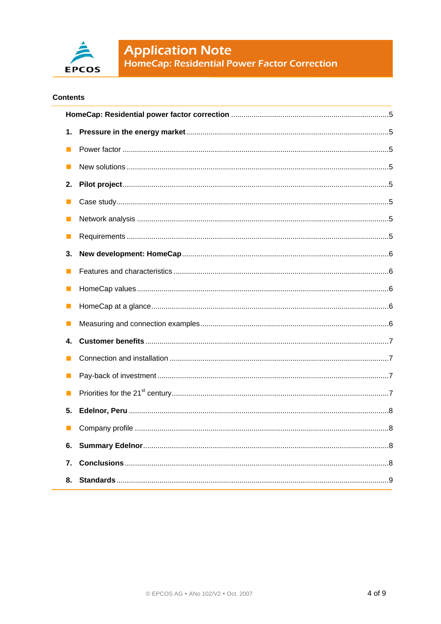

# **Contents**

| 1. |  |  |
|----|--|--|
|    |  |  |
|    |  |  |
| 2. |  |  |
|    |  |  |
|    |  |  |
|    |  |  |
| 3. |  |  |
|    |  |  |
| Ш  |  |  |
| H  |  |  |
|    |  |  |
| 4. |  |  |
|    |  |  |
|    |  |  |
| Ш  |  |  |
| 5. |  |  |
|    |  |  |
| 6. |  |  |
| 7. |  |  |
| 8. |  |  |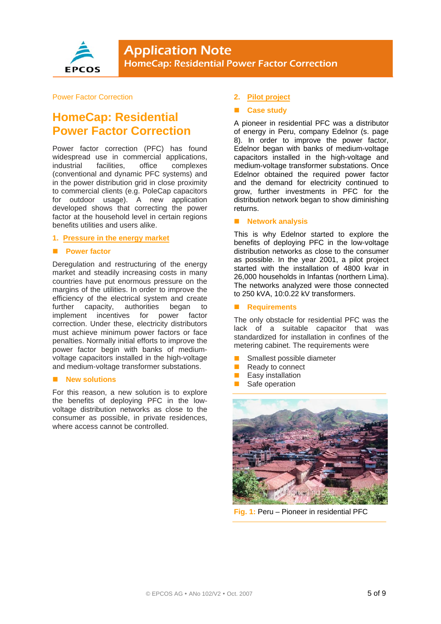

# Power Factor Correction

# **HomeCap: Residential Power Factor Correction**

Power factor correction (PFC) has found widespread use in commercial applications, industrial facilities, office complexes (conventional and dynamic PFC systems) and in the power distribution grid in close proximity to commercial clients (e.g. PoleCap capacitors for outdoor usage). A new application developed shows that correcting the power factor at the household level in certain regions benefits utilities and users alike.

#### **1. Pressure in the energy market**

#### $\blacksquare$  Power factor

Deregulation and restructuring of the energy market and steadily increasing costs in many countries have put enormous pressure on the margins of the utilities. In order to improve the efficiency of the electrical system and create further capacity, authorities began to implement incentives for power factor correction. Under these, electricity distributors must achieve minimum power factors or face penalties. Normally initial efforts to improve the power factor begin with banks of mediumvoltage capacitors installed in the high-voltage and medium-voltage transformer substations.

#### **New solutions**

For this reason, a new solution is to explore the benefits of deploying PFC in the lowvoltage distribution networks as close to the consumer as possible, in private residences, where access cannot be controlled.

# **2. Pilot project**

### **Case study**

A pioneer in residential PFC was a distributor of energy in Peru, company Edelnor (s. page 8). In order to improve the power factor, Edelnor began with banks of medium-voltage capacitors installed in the high-voltage and medium-voltage transformer substations. Once Edelnor obtained the required power factor and the demand for electricity continued to grow, further investments in PFC for the distribution network began to show diminishing returns.

# **Network analysis**

This is why Edelnor started to explore the benefits of deploying PFC in the low-voltage distribution networks as close to the consumer as possible. In the year 2001, a pilot project started with the installation of 4800 kvar in 26,000 households in Infantas (northern Lima). The networks analyzed were those connected to 250 kVA, 10:0.22 kV transformers.

### **Requirements**

The only obstacle for residential PFC was the lack of a suitable capacitor that was standardized for installation in confines of the metering cabinet. The requirements were

- Smallest possible diameter
- Ready to connect
- Easy installation
- Safe operation



**Fig. 1:** Peru – Pioneer in residential PFC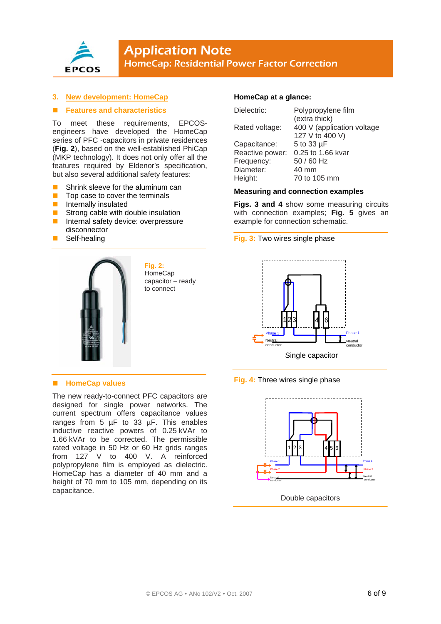

# **3. New development: HomeCap**

### **Features and characteristics**

To meet these requirements, EPCOSengineers have developed the HomeCap series of PFC -capacitors in private residences (**Fig. 2**), based on the well-established PhiCap (MKP technology). It does not only offer all the features required by Eldenor's specification, but also several additional safety features:

- Shrink sleeve for the aluminum can
- Top case to cover the terminals
- **Internally insulated**
- **Strong cable with double insulation** Internal safety device: overpressure
- disconnector
- **B** Self-healing



**Fig. 2: HomeCap** capacitor – ready to connect

# $\blacksquare$  **HomeCap values**

The new ready-to-connect PFC capacitors are designed for single power networks. The current spectrum offers capacitance values ranges from 5  $\mu$ F to 33  $\mu$ F. This enables inductive reactive powers of 0.25 kVAr to 1.66 kVAr to be corrected. The permissible rated voltage in 50 Hz or 60 Hz grids ranges from 127 V to 400 V. A reinforced polypropylene film is employed as dielectric. HomeCap has a diameter of 40 mm and a height of 70 mm to 105 mm, depending on its capacitance.

# **HomeCap at a glance:**

| Dielectric:     | Polypropylene film         |
|-----------------|----------------------------|
|                 | (extra thick)              |
| Rated voltage:  | 400 V (application voltage |
|                 | 127 V to 400 V)            |
| Capacitance:    | 5 to 33 µF                 |
| Reactive power: | 0.25 to 1.66 kvar          |
| Frequency:      | 50 / 60 Hz                 |
| Diameter:       | 40 mm                      |
| Height:         | 70 to 105 mm               |

# **Measuring and connection examples**

**Figs. 3 and 4** show some measuring circuits with connection examples; **Fig. 5** gives an example for connection schematic.

**Fig. 3:** Two wires single phase



**Fig. 4:** Three wires single phase



Double capacitors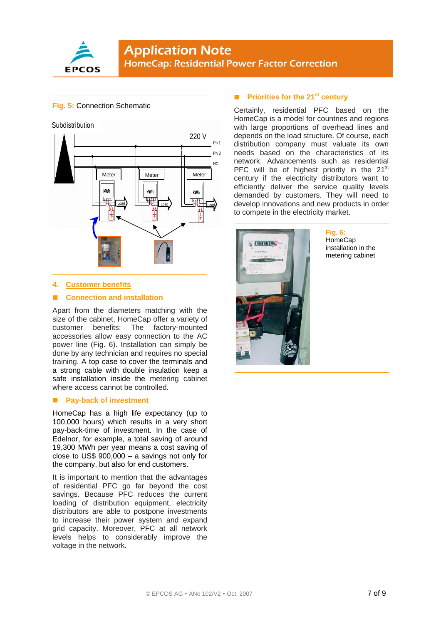

# **Application Note** HomeCap: Residential Power Factor Correction

# **Fig. 5:** Connection Schematic



# **4. Customer benefits**

# **Connection and installation**

Apart from the diameters matching with the size of the cabinet, HomeCap offer a variety of customer benefits: The factory-mounted accessories allow easy connection to the AC power line (Fig. 6). Installation can simply be done by any technician and requires no special training. A top case to cover the terminals and a strong cable with double insulation keep a safe installation inside the metering cabinet where access cannot be controlled.

# $\blacksquare$  Pay-back of investment

HomeCap has a high life expectancy (up to 100,000 hours) which results in a very short pay-back-time of investment. In the case of Edelnor, for example, a total saving of around 19,300 MWh per year means a cost saving of close to US\$ 900,000 – a savings not only for the company, but also for end customers.

It is important to mention that the advantages of residential PFC go far beyond the cost savings. Because PFC reduces the current loading of distribution equipment, electricity distributors are able to postpone investments to increase their power system and expand grid capacity. Moreover, PFC at all network levels helps to considerably improve the voltage in the network.

# **Priorities for the 21st century**

Certainly, residential PFC based on the HomeCap is a model for countries and regions with large proportions of overhead lines and depends on the load structure. Of course, each distribution company must valuate its own needs based on the characteristics of its network. Advancements such as residential PFC will be of highest priority in the  $21<sup>st</sup>$ century if the electricity distributors want to efficiently deliver the service quality levels demanded by customers. They will need to develop innovations and new products in order to compete in the electricity market.



# **Fig. 6:**

**HomeCap** installation in the metering cabinet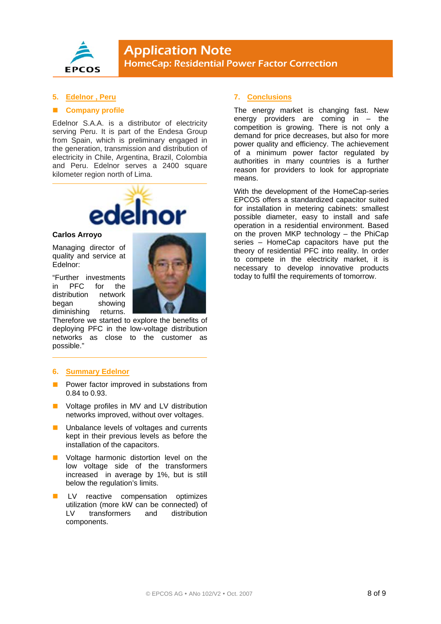

# **5. Edelnor , Peru**

### **Company profile**

Edelnor S.A.A. is a distributor of electricity serving Peru. It is part of the Endesa Group from Spain, which is preliminary engaged in the generation, transmission and distribution of electricity in Chile, Argentina, Brazil, Colombia and Peru. Edelnor serves a 2400 square kilometer region north of Lima.



## **Carlos Arroyo**

Managing director of quality and service at Edelnor:

"Further investments in PFC for the distribution network began showing diminishing returns.

Therefore we started to explore the benefits of deploying PFC in the low-voltage distribution networks as close to the customer as possible."

# **6. Summary Edelnor**

- Power factor improved in substations from 0.84 to 0.93.
- **U** Voltage profiles in MV and LV distribution networks improved, without over voltages.
- Unbalance levels of voltages and currents kept in their previous levels as before the installation of the capacitors.
- Voltage harmonic distortion level on the low voltage side of the transformers increased in average by 1%, but is still below the regulation's limits.
- LV reactive compensation optimizes utilization (more kW can be connected) of LV transformers and distribution components.

# **7. Conclusions**

The energy market is changing fast. New energy providers are coming in  $-$  the competition is growing. There is not only a demand for price decreases, but also for more power quality and efficiency. The achievement of a minimum power factor regulated by authorities in many countries is a further reason for providers to look for appropriate means.

With the development of the HomeCap-series EPCOS offers a standardized capacitor suited for installation in metering cabinets: smallest possible diameter, easy to install and safe operation in a residential environment. Based on the proven MKP technology – the PhiCap series – HomeCap capacitors have put the theory of residential PFC into reality. In order to compete in the electricity market, it is necessary to develop innovative products today to fulfil the requirements of tomorrow.